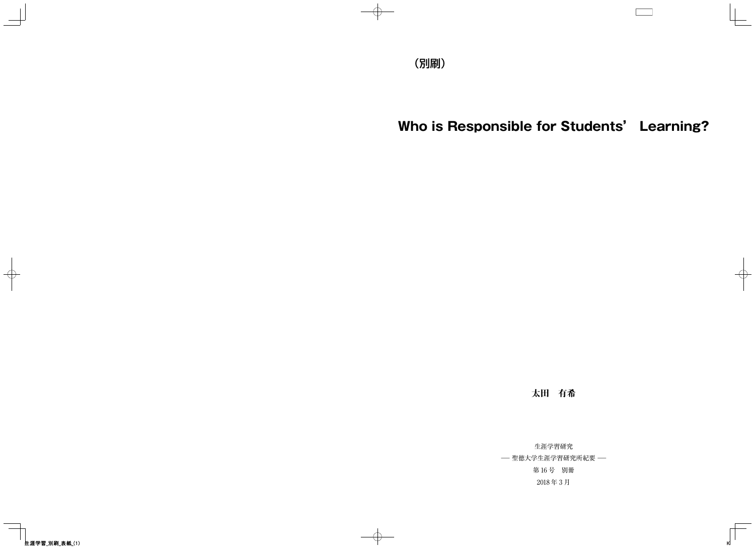# Who is Responsible for Students' Learning?

太田 有希

生涯学習研究 - 聖徳大学生涯学習研究所紀要 -第16号 別冊 2018年3月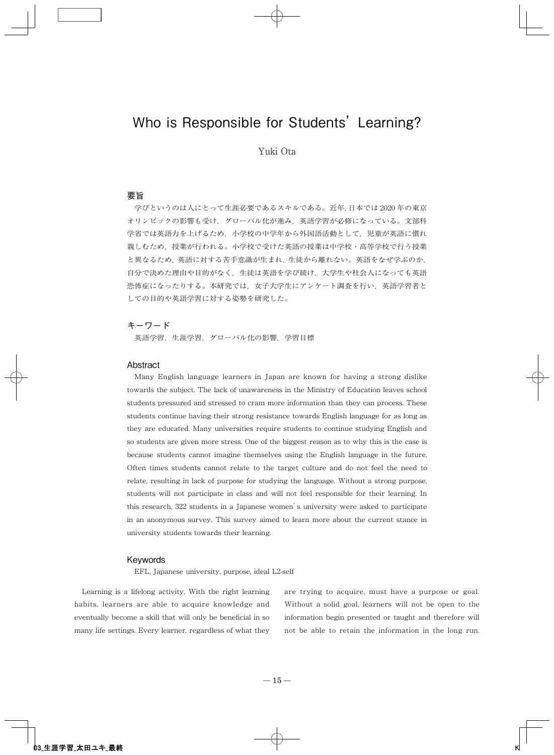# Who is Responsible for Students' Learning?

# Yuki Ota

# 要旨

学びというのは人にとって生涯必要であるスキルである。近年,日本では2020年の東京 オリンピックの影響も受け、グローバル化が進み、英語学習が必修になっている。文部科 学省では英語力を上げるため、小学校の中学年から外国語活動として、児童が英語に慣れ 親しむため、授業が行われる。小学校で受けた英語の授業は中学校・高等学校で行う授業 と異なるため、英語に対する苦手意識が生まれ、生徒から離れない。英語をなぜ学ぶのか, 自分で決めた理由や目的がなく、生徒は英語を学び続け、大学生や社会人になっても英語 恐怖症になったりする。本研究では、女子大学生にアンケート調査を行い、英語学習者と しての目的や英語学習に対する姿勢を研究した。

# キーワード

英語学習、生涯学習、グローバル化の影響、学習目標

#### Abstract

Many English language learners in Japan are known for having a strong dislike towards the subject. The lack of unawareness in the Ministry of Education leaves school students pressured and stressed to cram more information than they can process. These students continue having their strong resistance towards English language for as long as they are educated. Many universities require students to continue studying English and so students are given more stress. One of the biggest reason as to why this is the case is because students cannot imagine themselves using the English language in the future. Often times students cannot relate to the target culture and do not feel the need to relate, resulting in lack of purpose for studying the language. Without a strong purpose, students will not participate in class and will not feel responsible for their learning. In this research, 322 students in a Japanese women's university were asked to participate in an anonymous survey. This survey aimed to learn more about the current stance in university students towards their learning.

#### Keywords

EFL, Japanese university, purpose, ideal L2-self

Learning is a lifelong activity. With the right learning habits, learners are able to acquire knowledge and eventually become a skill that will only be beneficial in so many life settings. Every learner, regardless of what they

are trying to acquire, must have a purpose or goal. Without a solid goal, learners will not be open to the information begin presented or taught and therefore will not be able to retain the information in the long run.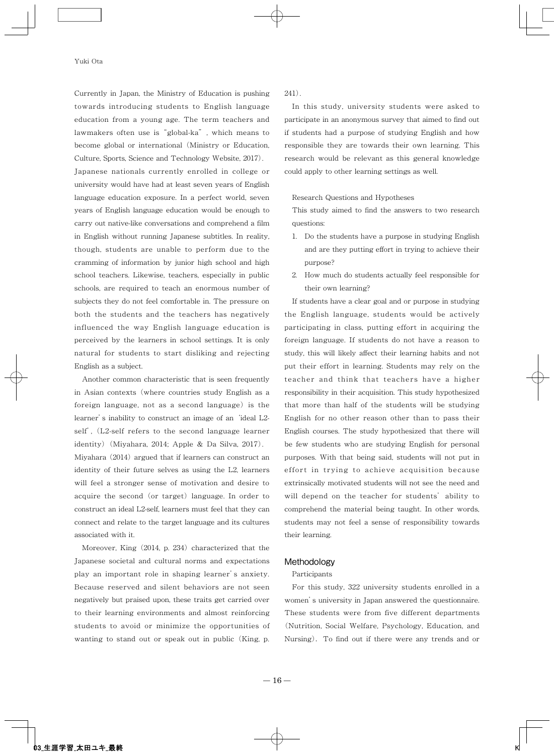Currently in Japan, the Ministry of Education is pushing towards introducing students to English language education from a young age. The term teachers and lawmakers often use is "global-ka", which means to become global or international (Ministry or Education, Culture, Sports, Science and Technology Website, 2017).

Japanese nationals currently enrolled in college or university would have had at least seven years of English language education exposure. In a perfect world, seven years of English language education would be enough to carry out native-like conversations and comprehend a film in English without running Japanese subtitles. In reality, though, students are unable to perform due to the cramming of information by junior high school and high school teachers. Likewise, teachers, especially in public schools, are required to teach an enormous number of subjects they do not feel comfortable in. The pressure on both the students and the teachers has negatively influenced the way English language education is perceived by the learners in school settings. It is only natural for students to start disliking and rejecting English as a subject.

Another common characteristic that is seen frequently in Asian contexts (where countries study English as a foreign language, not as a second language) is the learner's inability to construct an image of an 'ideal L2self', (L2-self refers to the second language learner identity) (Miyahara, 2014; Apple & Da Silva, 2017). Miyahara (2014) argued that if learners can construct an identity of their future selves as using the L2, learners will feel a stronger sense of motivation and desire to acquire the second (or target) language. In order to construct an ideal L2-self, learners must feel that they can connect and relate to the target language and its cultures associated with it.

Moreover, King (2014, p. 234) characterized that the Japanese societal and cultural norms and expectations play an important role in shaping learner's anxiety. Because reserved and silent behaviors are not seen negatively but praised upon, these traits get carried over to their learning environments and almost reinforcing students to avoid or minimize the opportunities of wanting to stand out or speak out in public (King, p.  $241).$ 

In this study, university students were asked to participate in an anonymous survey that aimed to find out if students had a purpose of studying English and how responsible they are towards their own learning. This research would be relevant as this general knowledge could apply to other learning settings as well.

Research Questions and Hypotheses

This study aimed to find the answers to two research questions:

- 1. Do the students have a purpose in studying English and are they putting effort in trying to achieve their purpose?
- 2. How much do students actually feel responsible for their own learning?

If students have a clear goal and or purpose in studying the English language, students would be actively participating in class, putting effort in acquiring the foreign language. If students do not have a reason to study, this will likely affect their learning habits and not put their effort in learning. Students may rely on the teacher and think that teachers have a higher responsibility in their acquisition. This study hypothesized that more than half of the students will be studying English for no other reason other than to pass their English courses. The study hypothesized that there will be few students who are studying English for personal purposes. With that being said, students will not put in effort in trying to achieve acquisition because extrinsically motivated students will not see the need and will depend on the teacher for students' ability to comprehend the material being taught. In other words, students may not feel a sense of responsibility towards their learning.

#### Methodology

#### Participants

For this study, 322 university students enrolled in a women's university in Japan answered the questionnaire. These students were from five different departments (Nutrition, Social Welfare, Psychology, Education, and Nursing). To find out if there were any trends and or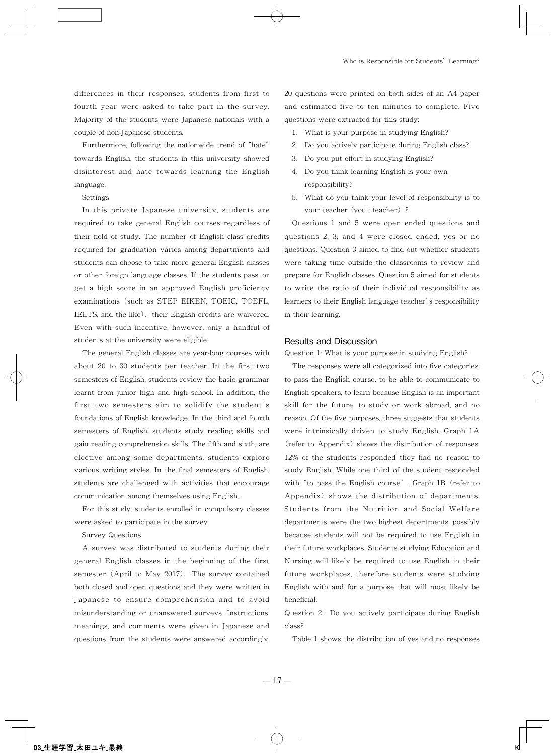differences in their responses, students from first to fourth year were asked to take part in the survey. Majority of the students were Japanese nationals with a couple of non-Japanese students.

Furthermore, following the nationwide trend of "hate" towards English, the students in this university showed disinterest and hate towards learning the English language.

Settings

In this private Japanese university, students are required to take general English courses regardless of their field of study. The number of English class credits required for graduation varies among departments and students can choose to take more general English classes or other foreign language classes. If the students pass, or get a high score in an approved English proficiency examinations (such as STEP EIKEN, TOEIC, TOEFL, IELTS, and the like), their English credits are waivered. Even with such incentive, however, only a handful of students at the university were eligible.

The general English classes are year-long courses with about 20 to 30 students per teacher. In the first two semesters of English, students review the basic grammar learnt from junior high and high school. In addition, the first two semesters aim to solidify the student's foundations of English knowledge. In the third and fourth semesters of English, students study reading skills and gain reading comprehension skills. The fifth and sixth, are elective among some departments, students explore various writing styles. In the final semesters of English, students are challenged with activities that encourage communication among themselves using English.

For this study, students enrolled in compulsory classes were asked to participate in the survey.

#### **Survey Questions**

A survey was distributed to students during their general English classes in the beginning of the first semester (April to May 2017). The survey contained both closed and open questions and they were written in Japanese to ensure comprehension and to avoid misunderstanding or unanswered surveys. Instructions, meanings, and comments were given in Japanese and questions from the students were answered accordingly. 20 questions were printed on both sides of an A4 paper and estimated five to ten minutes to complete. Five questions were extracted for this study:

- 1. What is your purpose in studying English?
- 2. Do you actively participate during English class?
- 3. Do you put effort in studying English?
- 4. Do you think learning English is your own responsibility?
- 5. What do you think your level of responsibility is to your teacher (you : teacher) ?

Questions 1 and 5 were open ended questions and questions 2, 3, and 4 were closed ended, yes or no questions. Question 3 aimed to find out whether students were taking time outside the classrooms to review and prepare for English classes. Question 5 aimed for students to write the ratio of their individual responsibility as learners to their English language teacher's responsibility in their learning.

### **Results and Discussion**

Question 1: What is your purpose in studying English?

The responses were all categorized into five categories: to pass the English course, to be able to communicate to English speakers, to learn because English is an important skill for the future, to study or work abroad, and no reason. Of the five purposes, three suggests that students were intrinsically driven to study English. Graph 1A (refer to Appendix) shows the distribution of responses. 12% of the students responded they had no reason to study English. While one third of the student responded with "to pass the English course". Graph 1B (refer to Appendix) shows the distribution of departments. Students from the Nutrition and Social Welfare departments were the two highest departments, possibly because students will not be required to use English in their future workplaces. Students studying Education and Nursing will likely be required to use English in their future workplaces, therefore students were studying English with and for a purpose that will most likely be beneficial.

Question 2 : Do you actively participate during English class?

Table 1 shows the distribution of yes and no responses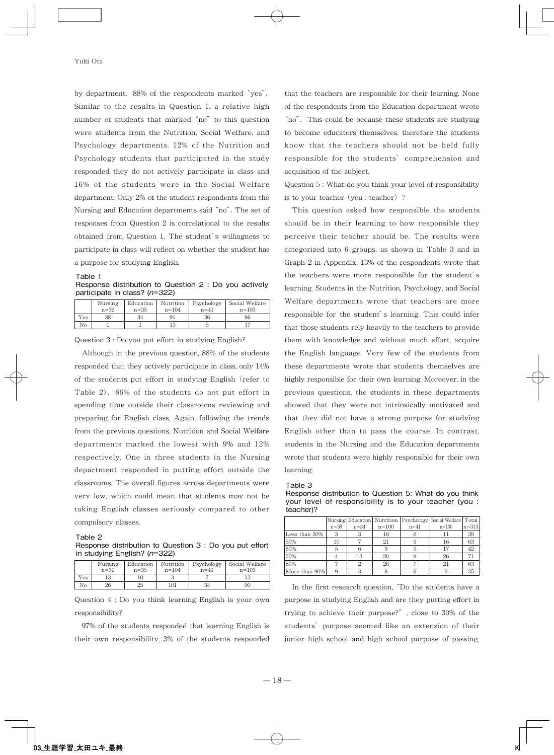by department. 88% of the respondents marked "yes". Similar to the results in Question 1, a relative high number of students that marked "no" to this question were students from the Nutrition. Social Welfare, and Psychology departments. 12% of the Nutrition and Psychology students that participated in the study responded they do not actively participate in class and 16% of the students were in the Social Welfare department. Only 2% of the student respondents from the Nursing and Education departments said "no". The set of responses from Question 2 is correlational to the results obtained from Question 1. The student's willingness to participate in class will reflect on whether the student has a purpose for studying English.

#### Table 1

Response distribution to Question 2 : Do you actively participate in class? (n=322)

|     | Nursing  | Education | Nutrition | Psychology | Social Welfare |
|-----|----------|-----------|-----------|------------|----------------|
|     | $n = 39$ | $n = 35$  | $n = 104$ | $n = 41$   | $n = 103$      |
| Yes | 38       | 34        | 91        | 36         | 86             |
| No  |          |           | 13        |            |                |

Question 3 : Do you put effort in studying English?

Although in the previous question, 88% of the students responded that they actively participate in class, only 14% of the students put effort in studying English (refer to Table 2). 86% of the students do not put effort in spending time outside their classrooms reviewing and preparing for English class. Again, following the trends from the previous questions, Nutrition and Social Welfare departments marked the lowest with 9% and 12% respectively. One in three students in the Nursing department responded in putting effort outside the classrooms. The overall figures across departments were very low, which could mean that students may not be taking English classes seriously compared to other compulsory classes

#### Table 2

Response distribution to Question 3 : Do you put effort in studying English? (n=322)

|     | Nursing  | Education | Nutrition | Psychology | Social Welfare |
|-----|----------|-----------|-----------|------------|----------------|
|     | $n = 39$ | $n = 35$  | $n = 104$ | $n = 41$   | $n = 103$      |
| Yes |          |           |           |            |                |
| No  | 26       | 25        | 101       | 34         | 90             |

Question 4 : Do you think learning English is your own responsibility?

97% of the students responded that learning English is their own responsibility. 3% of the students responded

that the teachers are responsible for their learning. None of the respondents from the Education department wrote "no". This could be because these students are studying to become educators themselves, therefore the students know that the teachers should not be held fully responsible for the students' comprehension and acquisition of the subject.

Question 5 : What do you think your level of responsibility is to your teacher (you : teacher) ?

This question asked how responsible the students should be in their learning to how responsible they perceive their teacher should be. The results were categorized into 6 groups, as shown in Table 3 and in Graph 2 in Appendix. 13% of the respondents wrote that the teachers were more responsible for the student's learning. Students in the Nutrition, Psychology, and Social Welfare departments wrote that teachers are more responsible for the student's learning. This could infer that those students rely heavily to the teachers to provide them with knowledge and without much effort, acquire the English language. Very few of the students from these departments wrote that students themselves are highly responsible for their own learning. Moreover, in the previous questions, the students in these departments showed that they were not intrinsically motivated and that they did not have a strong purpose for studying English other than to pass the course. In contrast, students in the Nursing and the Education departments wrote that students were highly responsible for their own learning.

Table 3

Response distribution to Question 5: What do you think your level of responsibility is to your teacher (you : teacher)?

|               |        |        |           |        | Nursing Education   Nutrition   Psychology   Social Welfare   Total |           |
|---------------|--------|--------|-----------|--------|---------------------------------------------------------------------|-----------|
|               | $n=38$ | $n=34$ | $n = 100$ | $n=41$ | $n=100$                                                             | $n = 313$ |
| Less than 50% | 3      |        | 16        |        | 11                                                                  | 39        |
| 50%           | 10     |        | 21        |        | 16                                                                  | 63        |
| 60%           | 5      |        |           |        | 17                                                                  | 42        |
| 70%           |        | 13     | 20        |        | 26                                                                  |           |
| 80%           |        |        | 26        |        | 21                                                                  | 63        |
| More than 90% |        |        |           |        |                                                                     | 35        |

In the first research question, "Do the students have a purpose in studying English and are they putting effort in trying to achieve their purpose?", close to 30% of the students' purpose seemed like an extension of their junior high school and high school purpose of passing.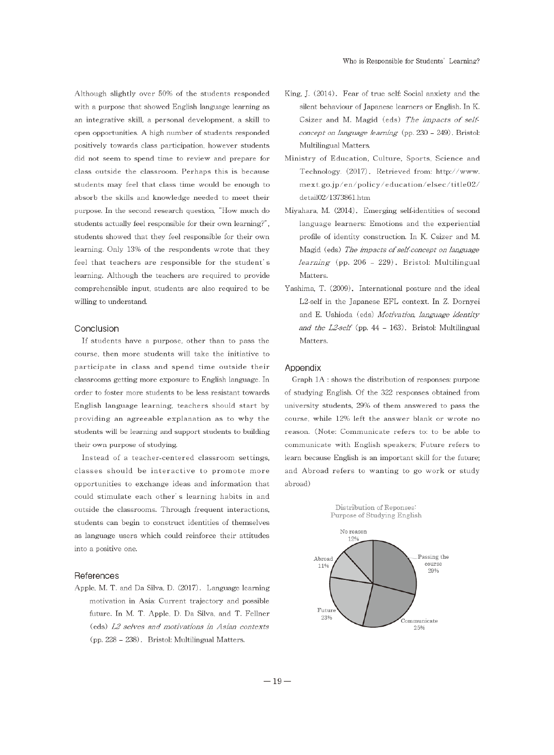Although slightly over 50% of the students responded with a purpose that showed English language learning as an integrative skill, a personal development, a skill to open opportunities. A high number of students responded positively towards class participation, however students did not seem to spend time to review and prepare for class outside the classroom. Perhaps this is because students may feel that class time would be enough to absorb the skills and knowledge needed to meet their purpose. In the second research question, "How much do students actually feel responsible for their own learning?", students showed that they feel responsible for their own learning. Only 13% of the respondents wrote that they feel that teachers are responsible for the student's learning. Although the teachers are required to provide comprehensible input, students are also required to be willing to understand.

# Conclusion

If students have a purpose, other than to pass the course, then more students will take the initiative to participate in class and spend time outside their classrooms getting more exposure to English language. In order to foster more students to be less resistant towards English language learning, teachers should start by providing an agreeable explanation as to why the students will be learning and support students to building their own purpose of studying.

Instead of a teacher-centered classroom settings, classes should be interactive to promote more opportunities to exchange ideas and information that could stimulate each other's learning habits in and outside the classrooms. Through frequent interactions, students can begin to construct identities of themselves as language users which could reinforce their attitudes into a positive one.

#### References

Apple, M. T. and Da Silva, D. (2017). Language learning motivation in Asia: Current trajectory and possible future. In M. T. Apple, D. Da Silva, and T. Fellner (eds) L2 selves and motivations in Asian contexts (pp. 228 - 238). Bristol: Multilingual Matters.

- King, J. (2014). Fear of true self: Social anxiety and the silent behaviour of Japanese learners or English. In K. Csizer and M. Magid (eds) The impacts of selfconcept on language learning (pp.  $230 - 249$ ). Bristol: Multilingual Matters.
- Ministry of Education, Culture, Sports, Science and Technology. (2017). Retrieved from: http://www. mext.go.jp/en/policy/education/elsec/title02/ detail02/1373861.htm
- Miyahara, M. (2014). Emerging self-identities of second language learners: Emotions and the experiential profile of identity construction. In K. Csizer and M. Magid (eds) The impacts of self-concept on language learning (pp. 206 - 229). Bristol: Multilingual Matters.
- Yashima, T. (2009). International posture and the ideal L2-self in the Japanese EFL context. In Z. Dornyei and E. Ushioda (eds) Motivation, language identity and the  $L2$ -self (pp. 44 - 163). Bristol: Multilingual Matters.

# Appendix

Graph 1A : shows the distribution of responses: purpose of studying English. Of the 322 responses obtained from university students, 29% of them answered to pass the course, while 12% left the answer blank or wrote no reason. (Note: Communicate refers to: to be able to communicate with English speakers; Future refers to learn because English is an important skill for the future; and Abroad refers to wanting to go work or study abroad)